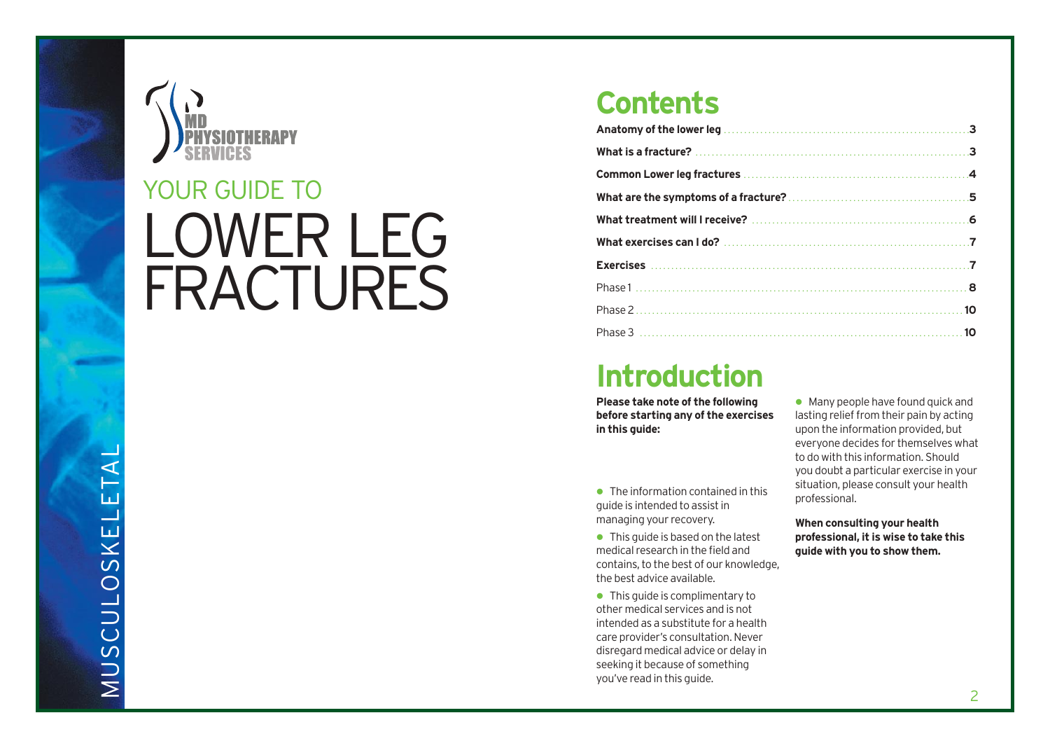

# LOWER LEG FRACTURES YOUR GUIDE TO

# **Contents**

# **Introduction**

**Please take note of the following before starting any of the exercises in this guide:**

- The information contained in this guide is intended to assist in managing your recovery.
- This quide is based on the latest medical research in the field and contains, to the best of our knowledge, the best advice available.
- This guide is complimentary to other medical services and is not intended as a substitute for a health care provider's consultation. Never disregard medical advice or delay in seeking it because of something you've read in this guide.

**Many people have found quick and** lasting relief from their pain by acting upon the information provided, but everyone decides for themselves what to do with this information. Should you doubt a particular exercise in your situation, please consult your health professional.

**When consulting your health professional, it is wise to take this guide with you to show them.**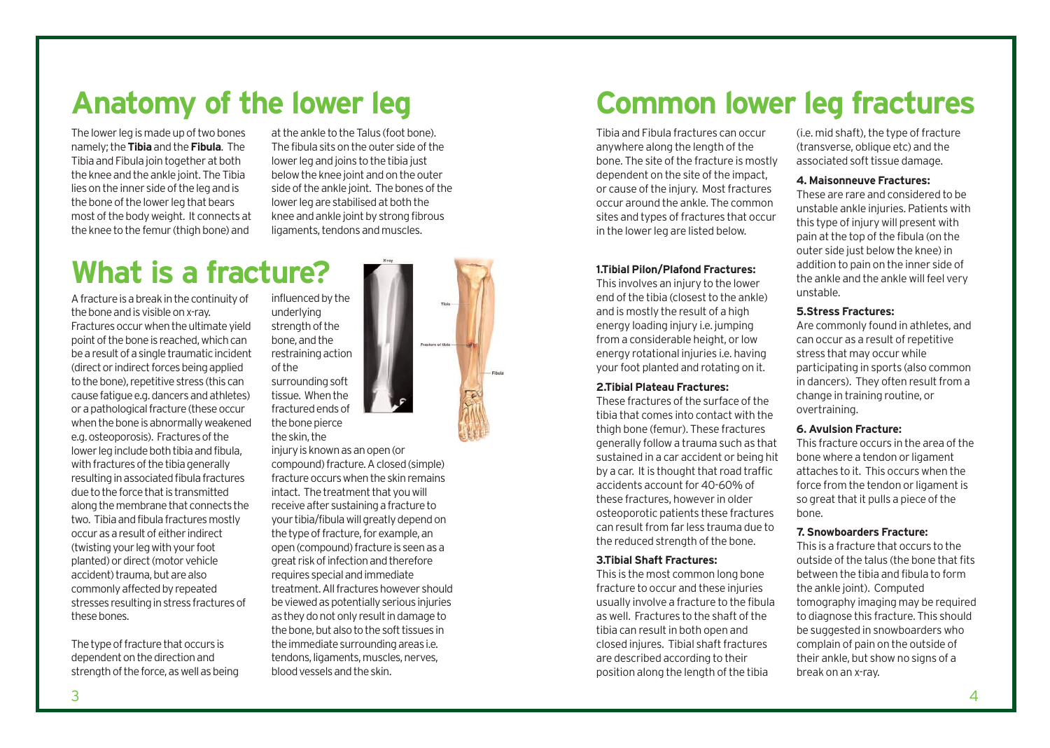# **Anatomy of the lower leg**

The lower leg is made up of two bones namely; the **Tibia**and the **Fibula**. The Tibia and Fibula join together at both the knee and the ankle joint. The Tibia lies on the inner side of the leg and is the bone of the lower leg that bears most of the body weight. It connects at the knee to the femur (thigh bone) and

at the ankle to the Talus (foot bone). The fibula sits on the outer side of the lower leg and joins to the tibia just below the knee joint and on the outer side of the ankle joint. The bones of the lower leg are stabilised at both the knee and ankle joint by strong fibrous ligaments, tendons and muscles.

# **What is a fracture?**

A fracture is a break in the continuity of the bone and is visible on x-ray.

Fractures occur when the ultimate yield point of the bone is reached, which can be a result of a single traumatic incident (direct or indirect forces being applied to the bone), repetitive stress (this can cause fatigue e.g. dancers and athletes) or a pathological fracture (these occur when the bone is abnormally weakened e.g. osteoporosis). Fractures of the lower leg include both tibia and fibula, with fractures of the tibia generally resulting in associated fibula fractures due to the force that is transmitted along the membrane that connects the two. Tibia and fibula fractures mostly occur as a result of either indirect (twisting your leg with your foot planted) or direct (motor vehicle accident) trauma, but are also commonly affected by repeated stresses resulting in stress fractures of these bones.

The type of fracture that occurs is dependent on the direction and strength of the force, as well as being influenced by the underlying strength of the bone, and the restraining action of the

surrounding soft tissue. When the fractured ends of the bone pierce the skin, the

injury is known as an open (or

compound) fracture. A closed (simple) fracture occurs when the skin remains intact. The treatment that you will receive after sustaining a fracture to your tibia/fibula will greatly depend on the type of fracture, for example, an open (compound) fracture is seen as a great risk of infection and therefore requires special and immediate treatment. All fractures however should be viewed as potentially serious injuries as they do not only result in damage to the bone, but also to the soft tissues in the immediate surrounding areas i.e. tendons, ligaments, muscles, nerves, blood vessels and the skin.

# **Common lower leg fractures**

Tibia and Fibula fractures can occur anywhere along the length of the bone. The site of the fracture is mostly dependent on the site of the impact, or cause of the injury. Most fractures occur around the ankle. The common sites and types of fractures that occur in the lower leg are listed below.

## **1.Tibial Pilon/Plafond Fractures:**

This involves an injury to the lower end of the tibia (closest to the ankle) and is mostly the result of a high energy loading injury i.e. jumping from a considerable height, or low energy rotational injuries i.e. having your foot planted and rotating on it.

## **2.Tibial Plateau Fractures:**

These fractures of the surface of the tibia that comes into contact with the thigh bone (femur). These fractures generally follow a trauma such as that sustained in a car accident or being hit by a car. It is thought that road traffic accidents account for 40-60% of these fractures, however in older osteoporotic patients these fractures can result from far less trauma due to the reduced strength of the bone.

### **3.Tibial Shaft Fractures:**

This is the most common long bone fracture to occur and these injuries usually involve a fracture to the fibula as well. Fractures to the shaft of the tibia can result in both open and closed injures. Tibial shaft fractures are described according to their position along the length of the tibia

(i.e. mid shaft), the type of fracture (transverse, oblique etc) and the associated soft tissue damage.

## **4. Maisonneuve Fractures:**

These are rare and considered to be unstable ankle injuries. Patients with this type of injury will present with pain at the top of the fibula (on the outer side just below the knee) in addition to pain on the inner side of the ankle and the ankle will feel very unstable.

## **5.Stress Fractures:**

Are commonly found in athletes, and can occur as a result of repetitive stress that may occur while participating in sports (also common in dancers). They often result from a change in training routine, or overtraining.

## **6. Avulsion Fracture:**

This fracture occurs in the area of the bone where a tendon or ligament attaches to it. This occurs when the force from the tendon or ligament is so great that it pulls a piece of the bone.

## **7. Snowboarders Fracture:**

This is a fracture that occurs to the outside of the talus (the bone that fits between the tibia and fibula to form the ankle joint). Computed tomography imaging may be required to diagnose this fracture. This should be suggested in snowboarders who complain of pain on the outside of their ankle, but show no signs of a break on an x-ray.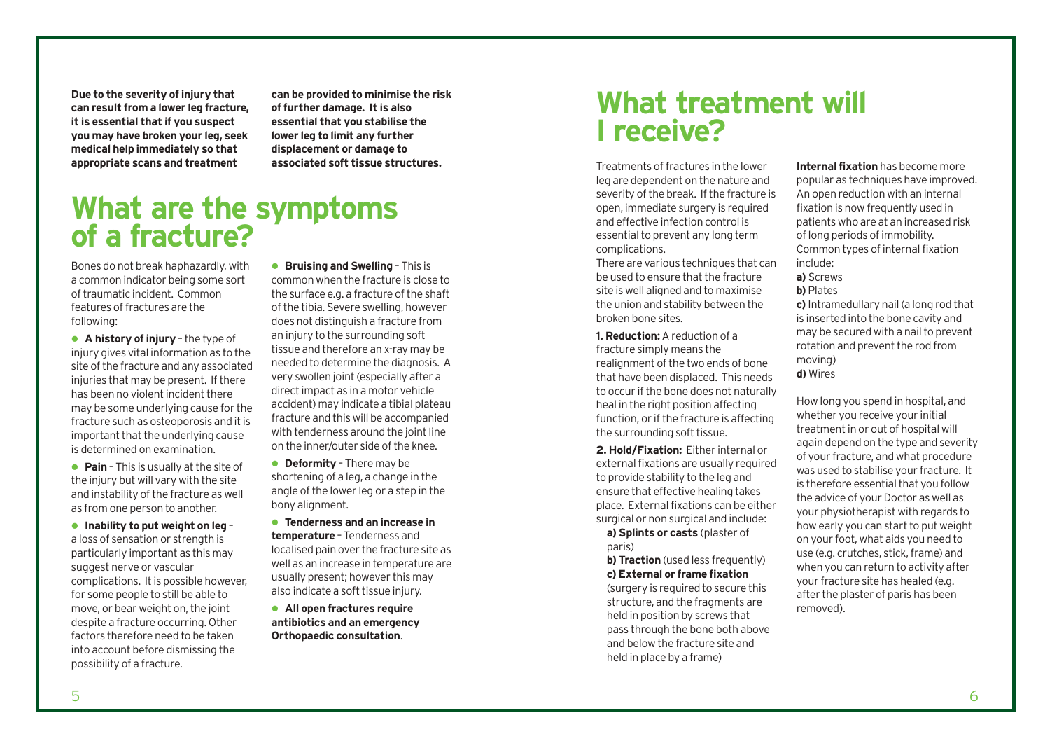**Due to the severity of injury that can result from a lower leg fracture, it is essential that if you suspect you may have broken your leg, seek medical help immediately so that appropriate scans and treatment**

**can be provided to minimise the risk of further damage. It is also essential that you stabilise the lower leg to limit any further displacement or damage to associated soft tissue structures.** 

# **What are the symptoms of a fracture?**

Bones do not break haphazardly, with a common indicator being some sort of traumatic incident. Common features of fractures are the following:

 **A history of injury** – the type of injury gives vital information as to the site of the fracture and any associated injuries that may be present. If there has been no violent incident there may be some underlying cause for the fracture such as osteoporosis and it is important that the underlying cause is determined on examination.

 **Pain** – This is usually at the site of the injury but will vary with the site and instability of the fracture as well as from one person to another.

 **Inability to put weight on leg** – a loss of sensation or strength is particularly important as this may suggest nerve or vascular complications. It is possible however, for some people to still be able to move, or bear weight on, the joint despite a fracture occurring. Other factors therefore need to be taken into account before dismissing the possibility of a fracture.

**Bruising and Swelling - This is** common when the fracture is close to the surface e.g. a fracture of the shaft of the tibia. Severe swelling, however does not distinguish a fracture from an injury to the surrounding soft tissue and therefore an x-ray may be needed to determine the diagnosis. A very swollen joint (especially after a direct impact as in a motor vehicle accident) may indicate a tibial plateau fracture and this will be accompanied with tenderness around the joint line on the inner/outer side of the knee.

**• Deformity** - There may be shortening of a leg, a change in the angle of the lower leg or a step in the bony alignment.

 **Tenderness and an increase in temperature** – Tenderness and localised pain over the fracture site as well as an increase in temperature are usually present; however this may also indicate a soft tissue injury.

 **All open fractures require antibiotics and an emergency Orthopaedic consultation**.

# **What treatment will I receive?**

Treatments of fractures in the lower leg are dependent on the nature and severity of the break. If the fracture is open, immediate surgery is required and effective infection control is essential to prevent any long term complications.

There are various techniques that can be used to ensure that the fracture site is well aligned and to maximise the union and stability between the broken bone sites.

**1. Reduction:**A reduction of a fracture simply means the realignment of the two ends of bone that have been displaced. This needs to occur if the bone does not naturally heal in the right position affecting function, or if the fracture is affecting the surrounding soft tissue.

**2. Hold/Fixation:** Either internal or external fixations are usually required to provide stability to the leg and ensure that effective healing takes place. External fixations can be either surgical or non surgical and include:

**a) Splints or casts** (plaster of paris)

**b) Traction** (used less frequently) **c) External or frame fixation**

(surgery is required to secure this structure, and the fragments are held in position by screws that pass through the bone both above and below the fracture site and held in place by a frame)

**Internal fixation** has become more popular as techniques have improved. An open reduction with an internal fixation is now frequently used in patients who are at an increased risk of long periods of immobility. Common types of internal fixation include: **a)** Screws

**b)** Plates

**c)** Intramedullary nail (a long rod that is inserted into the bone cavity and may be secured with a nail to prevent rotation and prevent the rod from moving) **d)** Wires

How long you spend in hospital, and whether you receive your initial treatment in or out of hospital will again depend on the type and severity of your fracture, and what procedure was used to stabilise your fracture. It is therefore essential that you follow the advice of your Doctor as well as your physiotherapist with regards to how early you can start to put weight on your foot, what aids you need to use (e.g. crutches, stick, frame) and when you can return to activity after your fracture site has healed (e.g. after the plaster of paris has been removed).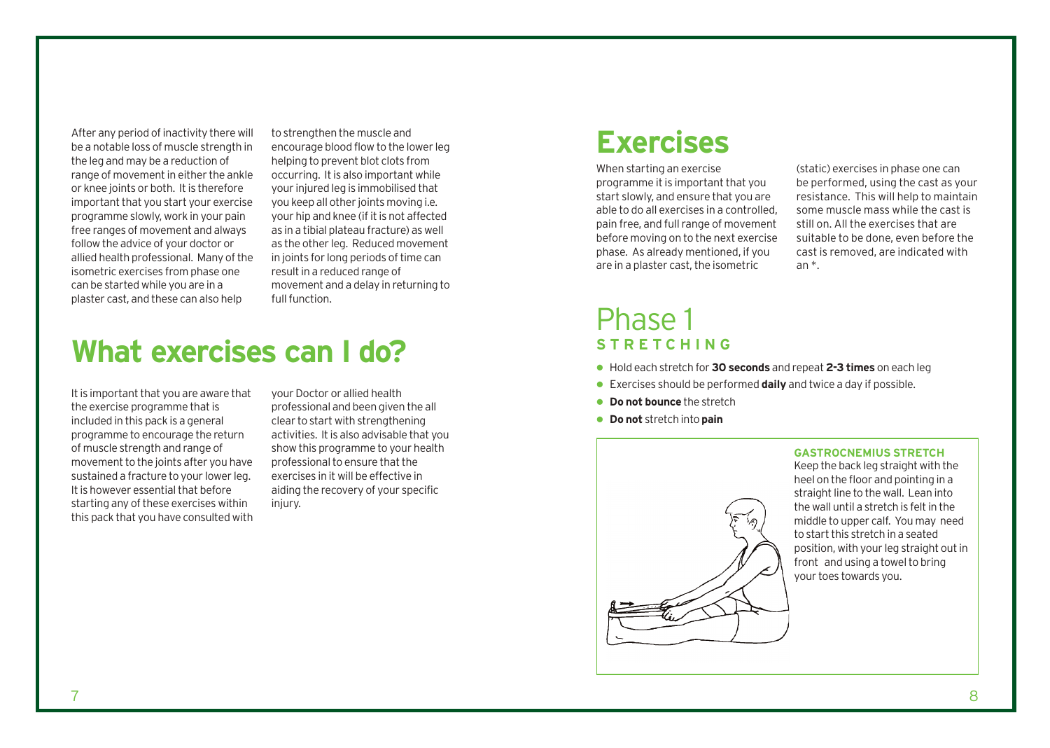After any period of inactivity there will be a notable loss of muscle strength in the leg and may be a reduction of range of movement in either the ankle or knee joints or both. It is therefore important that you start your exercise programme slowly, work in your pain free ranges of movement and always follow the advice of your doctor or allied health professional. Many of the isometric exercises from phase one can be started while you are in a plaster cast, and these can also help

to strengthen the muscle and encourage blood flow to the lower leg helping to prevent blot clots from occurring. It is also important while your injured leg is immobilised that you keep all other joints moving i.e. your hip and knee (if it is not affected as in a tibial plateau fracture) as well as the other leg. Reduced movement in joints for long periods of time can result in a reduced range of movement and a delay in returning to full function.

# **What exercises can I do?**

It is important that you are aware that the exercise programme that is included in this pack is a general programme to encourage the return of muscle strength and range of movement to the joints after you have sustained a fracture to your lower leg. It is however essential that before starting any of these exercises within this pack that you have consulted with

your Doctor or allied health professional and been given the all clear to start with strengthening activities. It is also advisable that you show this programme to your health professional to ensure that the exercises in it will be effective in aiding the recovery of your specific injury.

# **Exercises**

When starting an exercise programme it is important that you start slowly, and ensure that you are able to do all exercises in a controlled, pain free, and full range of movement before moving on to the next exercise phase. As already mentioned, if you are in a plaster cast, the isometric

(static) exercises in phase one can be performed, using the cast as your resistance. This will help to maintain some muscle mass while the cast is still on. All the exercises that are suitable to be done, even before the cast is removed, are indicated with an \*.

## Phase 1 **STRETCHING**

- Hold each stretch for **30 seconds** and repeat **2-3 times** on each leg
- Exercises should be performed **daily** and twice a day if possible.
- **Do not bounce** the stretch
- **Do not** stretch into **pain**



**GASTROCNEMIUS STRETCH** Keep the back leg straight with the heel on the floor and pointing in a straight line to the wall. Lean into the wall until a stretch is felt in the middle to upper calf. You may need to start this stretch in a seated position, with your leg straight out in front and using a towel to bring your toes towards you.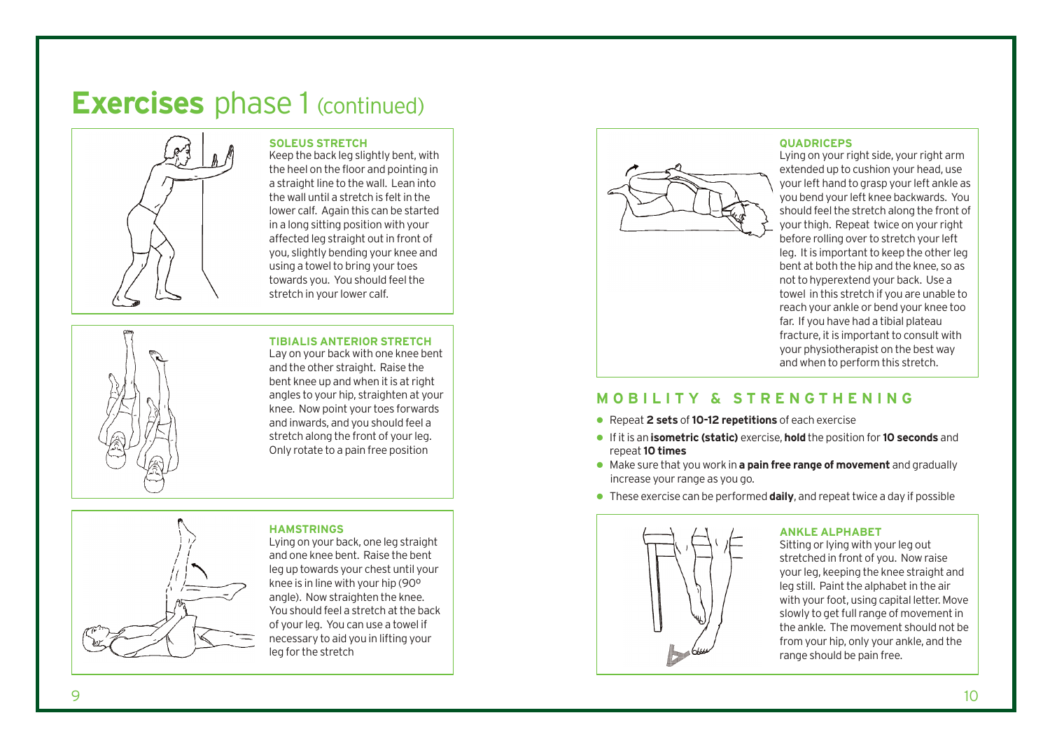# **Exercises** phase 1 (continued)



**SOLEUS STRETCH** Keep the back leg slightly bent, with the heel on the floor and pointing in a straight line to the wall. Lean into the wall until a stretch is felt in the lower calf. Again this can be started in a long sitting position with your affected leg straight out in front of you, slightly bending your knee and using a towel to bring your toes towards you. You should feel the

stretch in your lower calf.

## **TIBIALIS ANTERIOR STRETCH**

Lay on your back with one knee bent and the other straight. Raise the bent knee up and when it is at right angles to your hip, straighten at your knee. Now point your toes forwards and inwards, and you should feel a stretch along the front of your leg. Only rotate to a pain free position



Lying on your back, one leg straight and one knee bent. Raise the bent leg up towards your chest until your knee is in line with your hip (90º angle). Now straighten the knee. You should feel a stretch at the back of your leg. You can use a towel if necessary to aid you in lifting your leg for the stretch

**HAMSTRINGS**



## **QUADRICEPS**

Lying on your right side, your right arm extended up to cushion your head, use your left hand to grasp your left ankle as you bend your left knee backwards. You should feel the stretch along the front of your thigh. Repeat twice on your right before rolling over to stretch your left leg. It is important to keep the other leg bent at both the hip and the knee, so as not to hyperextend your back. Use a towel in this stretch if you are unable to reach your ankle or bend your knee too far. If you have had a tibial plateau fracture, it is important to consult with your physiotherapist on the best way and when to perform this stretch.

## **MOBILITY & STRENGTHENING**

- Repeat **2 sets** of**10-12 repetitions** of each exercise
- If it is an **isometric (static)** exercise, **hold** the position for **10 seconds** and repeat**10 times**
- Make sure that you work in **a pain free range of movement** and gradually increase your range as you go.
- These exercise can be performed **daily**, and repeat twice a day if possible



## **ANKLE ALPHABET**

Sitting or lying with your leg out stretched in front of you. Now raise your leg, keeping the knee straight and leg still. Paint the alphabet in the air with your foot, using capital letter. Move slowly to get full range of movement in the ankle. The movement should not be from your hip, only your ankle, and the range should be pain free.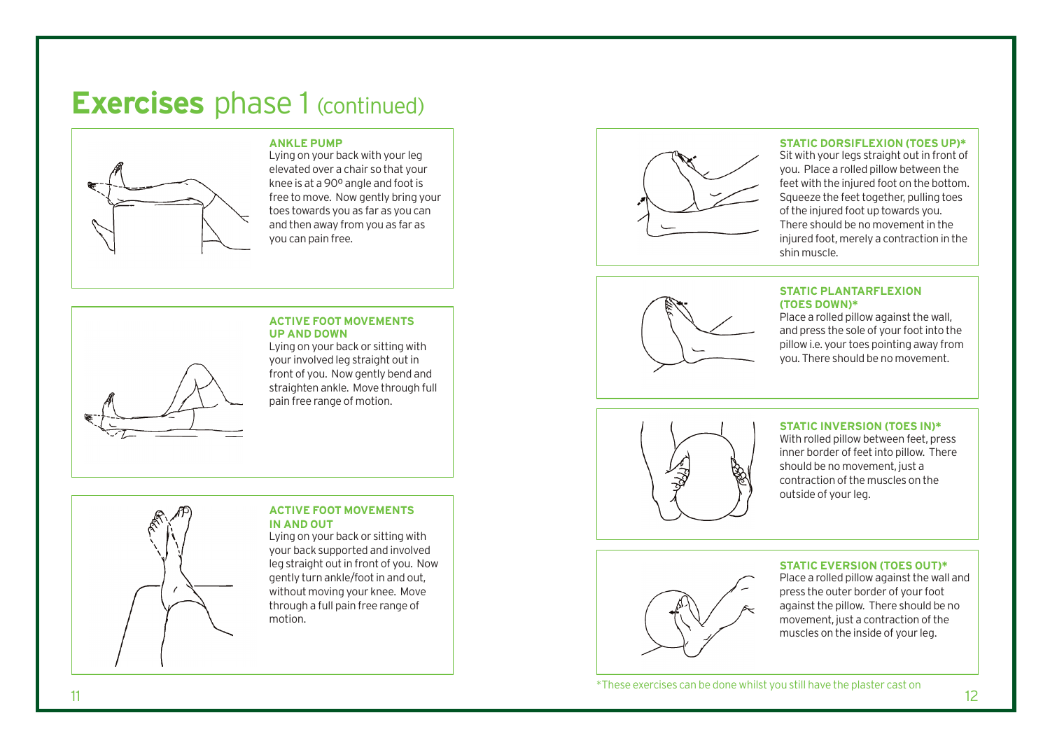# **Exercises** phase 1 (continued)



## **ANKLE PUMP**

Lying on your back with your leg elevated over a chair so that your knee is at a 90º angle and foot is free to move. Now gently bring your toes towards you as far as you can and then away from you as far as you can pain free.

### **ACTIVE FOOT MOVEMENTS UP AND DOWN**

Lying on your back or sitting with your involved leg straight out in front of you. Now gently bend and straighten ankle. Move through full pain free range of motion.



## **ACTIVE FOOT MOVEMENTS IN AND OUT**

Lying on your back or sitting with your back supported and involved leg straight out in front of you. Now gently turn ankle/foot in and out, without moving your knee. Move through a full pain free range of motion.



## **STATIC DORSIFLEXION (TOES UP)\***

Sit with your legs straight out in front of you. Place a rolled pillow between the feet with the injured foot on the bottom. Squeeze the feet together, pulling toes of the injured foot up towards you. There should be no movement in the injured foot, merely a contraction in the shin muscle.

## **STATIC PLANTARFLEXION (TOES DOWN)\***

Place a rolled pillow against the wall, and press the sole of your foot into the pillow i.e. your toes pointing away from you. There should be no movement.



## **STATIC INVERSION (TOES IN)\***

With rolled pillow between feet, press inner border of feet into pillow. There should be no movement, just a contraction of the muscles on the outside of your leg.

## **STATIC EVERSION (TOES OUT)\***

Place a rolled pillow against the wall and press the outer border of your foot against the pillow. There should be no movement, just a contraction of the muscles on the inside of your leg.

 $11$  12 \*These exercises can be done whilst you still have the plaster cast on

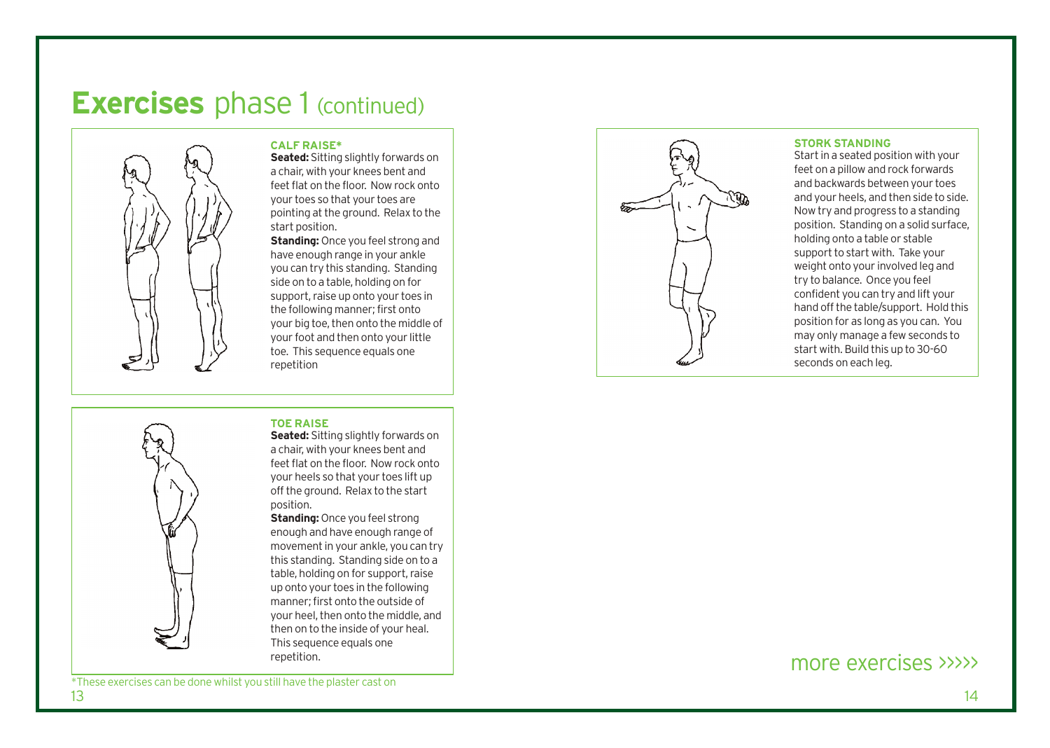# **Exercises** phase 1 (continued)



## **CALF RAISE\***

**Seated:** Sitting slightly forwards on a chair, with your knees bent and feet flat on the floor. Now rock onto your toes so that your toes are pointing at the ground. Relax to the start position.

**Standing:** Once you feel strong and have enough range in your ankle you can try this standing. Standing side on to a table, holding on for support, raise up onto your toes in the following manner; first onto your big toe, then onto the middle of your foot and then onto your little toe. This sequence equals one repetition

## **TOE RAISE**



**Seated:** Sitting slightly forwards on a chair, with your knees bent and feet flat on the floor. Now rock onto your heels so that your toes lift up off the ground. Relax to the start position.

**Standing:** Once you feel strong enough and ha ve enough range o f movement in your ankle, you can try this s tanding. S tanding side on to a table, holding on for support, raise up onto your toes in the following manner; first onto the outside of your heel, then onto the middle, and then on to the inside of your heal. This sequence equals one repetition.



### **STORK STANDING**

Start in a seated position with your feet on a pillow and rock forwards and backwards between your toes and your heels, and then side to side. Now try and progress to a standing position. Standing on a solid surface, holding onto a table or stable support to start with. Take your weight onto your involved leg and try to balance. Once you feel confident you can try and lift your hand off the table/support. Hold this position for as long as you can. You may only manage a few seconds to start with. Build this up to 30-60 seconds on each leg.

## more e xercis es >>>>>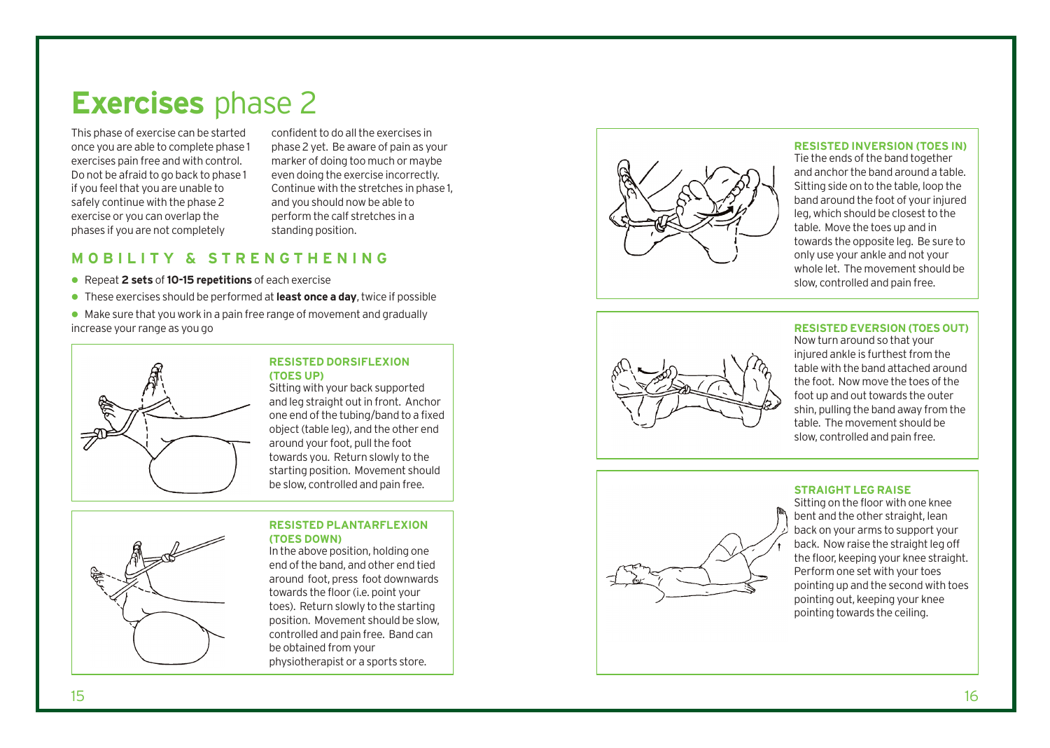# **Exercises** phase 2

This phase of exercise can be started once you are able to complete phase 1 exercises pain free and with control. Do not be afraid to go back to phase 1 if you feel that you are unable to safely continue with the phase 2 exercise or you can overlap the phases if you are not completely

confident to do all the exercises in phase 2 yet. Be aware of pain as your marker of doing too much or maybe even doing the exercise incorrectly. Continue with the stretches in phase 1, and you should now be able to perform the calf stretches in a standing position.

## **MOBILITY & STRENGTHENING**

- Repeat **2 sets** of**10-15 repetitions** of each exercise
- These exercises should be performed at**least once a day**, twice if possible
- Make sure that you work in a pain free range of movement and gradually increase your range as you go



## **RESISTED DORSIFLEXION (TOES UP)**

Sitting with your back supported and leg straight out in fron t. Anchor one end of the tubing/band to a fixed object (table leg), and the other end around your foot, pull the foot towards you. Return slowly to the starting position. Movement should be slo w, controlled and pain free.

## **RESISTED PLANTARFLEXION (TOES DOWN)**

In the above position, holding one end of the band, and other end tied around foot, press foot downwards towards the floor (i.e. point your toes). Return slowly to the starting position. Movement should be slow, controlled and pain free. Band can be obtained from your physiotherapist or a sports store.



## **RESISTED INVERSION (TOES IN)**

Tie the ends of the band together and anchor the band around a table. Sitting side on to the table, loop the band around the foot of your injured leg, which should be closest to the table. Move the toes up and in towards the opposite leg. Be sure to only use your ankle and not your whole let. The movement should be slow, controlled and pain free.

## **RESISTED EVERSION (TOES OUT)**





## **STRAIGHT LEG RAISE**

Sitting on the floor with one knee bent and the other straight, lean back on your arms to support your back. Now raise the straight leg off the floor, keeping your knee straight. Perform one set with your toes pointing up and the second with toes pointing out, keeping your knee pointing towards the ceiling.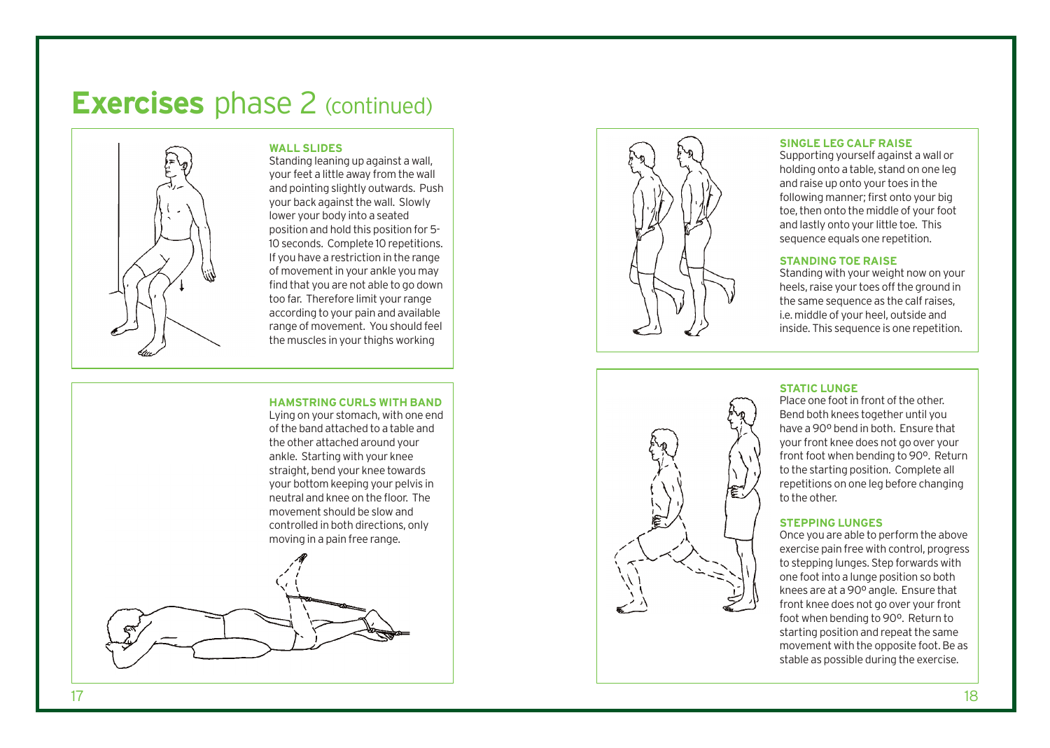# **Exercises** phase 2 (continued)

**WALL SLIDES**



Standing leaning up against a wall, your feet a little away from the wall and pointing slightly outwards. Push your back against the wall. Slowly lower your body into a seated position and hold this position for 5- 10 seconds. Complete 10 repetitions. If you have a restriction in the range of movement in your ankle you may find that you are not able to go down too far. Therefore limit your range according to your pain and available range of movement. You should feel the muscles in your thighs working

## **HAMSTRING CURLS WITH BAND**

Lying on your stomach, with one end of the band attached to a table and the other at tached around your ankle. Starting with your knee straight, bend your knee towards your bottom keeping your pelvis in neutral and knee on the floor. The movement should be slow and controlled in both directions, only moving in a pain free range.





## **SINGLE LEG CALF RAISE**

Supporting yourself against a wall or holding onto a table, stand on one leg and raise up onto your toes in the following manner; first onto your big toe, then onto the middle of your foot and lastly onto your little toe. This sequence equals one repetition.

## **STANDING TOE RAISE**

Standing with your weight now on your heels, raise your toes off the ground in the same sequence as the calf raises, i.e. middle of your heel, outside and inside. This sequence is one repetition.

## **STATIC LUNGE**

Place one foot in front of the other. Bend both knees together until you have a 90º bend in both. Ensure that your front knee does not go over your front foot when bending to 90º. Return to the starting position. Complete all repetitions on one leg before changing to the other.

## **STEPPING LUNGES**

Once you are able to perform the above exercise pain free with control, progress to stepping lunges. Step forwards with one foot in to a lunge position so both knees are at a 90º angle. Ensure that front knee does not go over your front foot when bending to 90º. Return to starting position and repeat the same movement with the opposite foot. Be as stable as possible during the exercise.